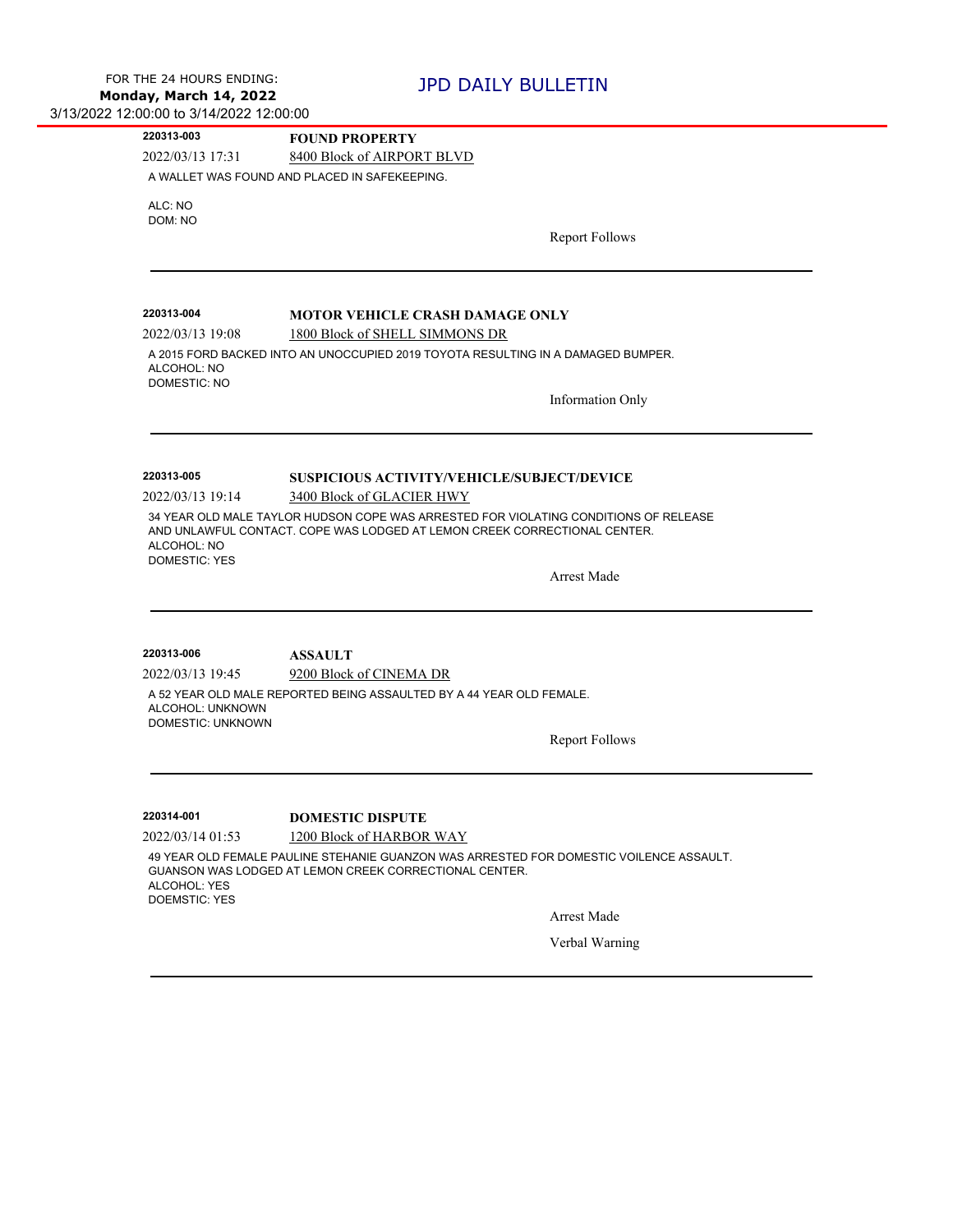| 220313-003                                   | <b>FOUND PROPERTY</b>                                                                                                                                             |
|----------------------------------------------|-------------------------------------------------------------------------------------------------------------------------------------------------------------------|
| 2022/03/13 17:31                             | 8400 Block of AIRPORT BLVD                                                                                                                                        |
|                                              | A WALLET WAS FOUND AND PLACED IN SAFEKEEPING.                                                                                                                     |
| ALC: NO                                      |                                                                                                                                                                   |
| DOM: NO                                      |                                                                                                                                                                   |
|                                              | <b>Report Follows</b>                                                                                                                                             |
|                                              |                                                                                                                                                                   |
|                                              |                                                                                                                                                                   |
| 220313-004                                   | <b>MOTOR VEHICLE CRASH DAMAGE ONLY</b>                                                                                                                            |
| 2022/03/13 19:08                             | 1800 Block of SHELL SIMMONS DR                                                                                                                                    |
|                                              | A 2015 FORD BACKED INTO AN UNOCCUPIED 2019 TOYOTA RESULTING IN A DAMAGED BUMPER.                                                                                  |
| ALCOHOL: NO<br><b>DOMESTIC: NO</b>           |                                                                                                                                                                   |
|                                              | <b>Information Only</b>                                                                                                                                           |
|                                              |                                                                                                                                                                   |
|                                              |                                                                                                                                                                   |
|                                              |                                                                                                                                                                   |
| 220313-005                                   | SUSPICIOUS ACTIVITY/VEHICLE/SUBJECT/DEVICE                                                                                                                        |
| 2022/03/13 19:14                             | 3400 Block of GLACIER HWY                                                                                                                                         |
| ALCOHOL: NO<br><b>DOMESTIC: YES</b>          | 34 YEAR OLD MALE TAYLOR HUDSON COPE WAS ARRESTED FOR VIOLATING CONDITIONS OF RELEASE<br>AND UNLAWFUL CONTACT. COPE WAS LODGED AT LEMON CREEK CORRECTIONAL CENTER. |
|                                              | <b>Arrest Made</b>                                                                                                                                                |
|                                              |                                                                                                                                                                   |
| 220313-006                                   | <b>ASSAULT</b>                                                                                                                                                    |
| 2022/03/13 19:45                             | 9200 Block of CINEMA DR                                                                                                                                           |
| ALCOHOL: UNKNOWN<br><b>DOMESTIC: UNKNOWN</b> | A 52 YEAR OLD MALE REPORTED BEING ASSAULTED BY A 44 YEAR OLD FEMALE.                                                                                              |
|                                              | <b>Report Follows</b>                                                                                                                                             |
|                                              |                                                                                                                                                                   |
| 220314-001                                   | <b>DOMESTIC DISPUTE</b>                                                                                                                                           |
|                                              | 1200 Block of HARBOR WAY                                                                                                                                          |
| 2022/03/14 01:53                             |                                                                                                                                                                   |
| ALCOHOL: YES<br><b>DOEMSTIC: YES</b>         | 49 YEAR OLD FEMALE PAULINE STEHANIE GUANZON WAS ARRESTED FOR DOMESTIC VOILENCE ASSAULT.<br>GUANSON WAS LODGED AT LEMON CREEK CORRECTIONAL CENTER.                 |
|                                              | Arrest Made                                                                                                                                                       |
|                                              | Verbal Warning                                                                                                                                                    |